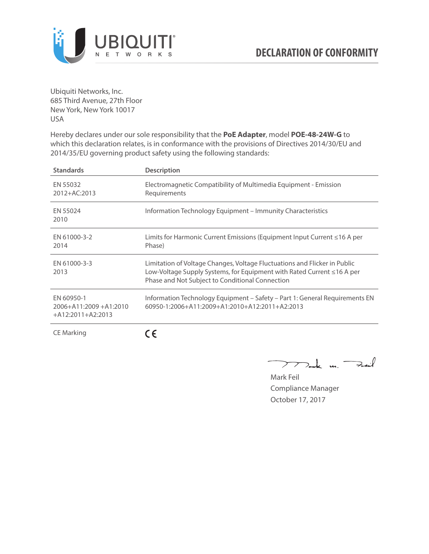

Ubiquiti Networks, Inc. 685 Third Avenue, 27th Floor New York, New York 10017 USA

Hereby declares under our sole responsibility that the **PoE Adapter**, model **POE-48-24W-G** to which this declaration relates, is in conformance with the provisions of Directives 2014/30/EU and 2014/35/EU governing product safety using the following standards:

| <b>Standards</b>                                                 | <b>Description</b>                                                                                                                                                                                     |
|------------------------------------------------------------------|--------------------------------------------------------------------------------------------------------------------------------------------------------------------------------------------------------|
| EN 55032<br>2012+AC:2013                                         | Electromagnetic Compatibility of Multimedia Equipment - Emission<br>Requirements                                                                                                                       |
| EN 55024<br>2010                                                 | Information Technology Equipment – Immunity Characteristics                                                                                                                                            |
| EN 61000-3-2<br>2014                                             | Limits for Harmonic Current Emissions (Equipment Input Current ≤16 A per<br>Phase)                                                                                                                     |
| EN 61000-3-3<br>2013                                             | Limitation of Voltage Changes, Voltage Fluctuations and Flicker in Public<br>Low-Voltage Supply Systems, for Equipment with Rated Current ≤16 A per<br>Phase and Not Subject to Conditional Connection |
| EN 60950-1<br>$2006 + A11:2009 + A1:2010$<br>$+A12:2011+A2:2013$ | Information Technology Equipment - Safety - Part 1: General Requirements EN<br>$60950 - 1:2006 + A11:2009 + A1:2010 + A12:2011 + A2:2013$                                                              |
| <b>CE Marking</b>                                                |                                                                                                                                                                                                        |

Dark m. Fuil  $\rightarrow$ 

Mark Feil Compliance Manager October 17, 2017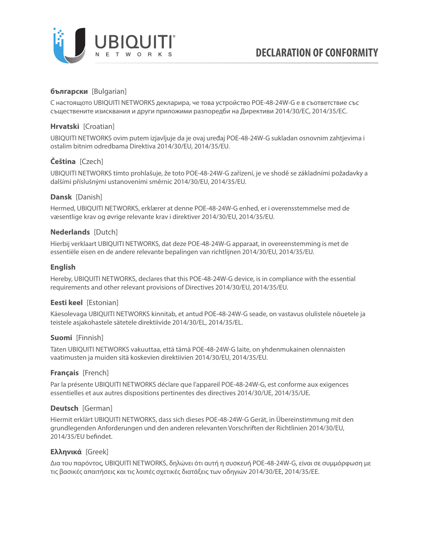

# **български** [Bulgarian]

С настоящото UBIQUITI NETWORKS декларира, че това устройство POE-48-24W-G е в съответствие със съществените изисквания и други приложими разпоредби на Директиви 2014/30/ЕС, 2014/35/ЕС.

# **Hrvatski** [Croatian]

UBIQUITI NETWORKS ovim putem izjavljuje da je ovaj uređaj POE-48-24W-G sukladan osnovnim zahtjevima i ostalim bitnim odredbama Direktiva 2014/30/EU, 2014/35/EU.

# **Čeština** [Czech]

UBIQUITI NETWORKS tímto prohlašuje, že toto POE-48-24W-G zařízení, je ve shodě se základními požadavky a dalšími příslušnými ustanoveními směrnic 2014/30/EU, 2014/35/EU.

## **Dansk** [Danish]

Hermed, UBIQUITI NETWORKS, erklærer at denne POE-48-24W-G enhed, er i overensstemmelse med de væsentlige krav og øvrige relevante krav i direktiver 2014/30/EU, 2014/35/EU.

## **Nederlands** [Dutch]

Hierbij verklaart UBIQUITI NETWORKS, dat deze POE-48-24W-G apparaat, in overeenstemming is met de essentiële eisen en de andere relevante bepalingen van richtlijnen 2014/30/EU, 2014/35/EU.

## **English**

Hereby, UBIQUITI NETWORKS, declares that this POE-48-24W-G device, is in compliance with the essential requirements and other relevant provisions of Directives 2014/30/EU, 2014/35/EU.

# **Eesti keel** [Estonian]

Käesolevaga UBIQUITI NETWORKS kinnitab, et antud POE-48-24W-G seade, on vastavus olulistele nõuetele ja teistele asjakohastele sätetele direktiivide 2014/30/EL, 2014/35/EL.

#### **Suomi** [Finnish]

Täten UBIQUITI NETWORKS vakuuttaa, että tämä POE-48-24W-G laite, on yhdenmukainen olennaisten vaatimusten ja muiden sitä koskevien direktiivien 2014/30/EU, 2014/35/EU.

# **Français** [French]

Par la présente UBIQUITI NETWORKS déclare que l'appareil POE-48-24W-G, est conforme aux exigences essentielles et aux autres dispositions pertinentes des directives 2014/30/UE, 2014/35/UE.

# **Deutsch** [German]

Hiermit erklärt UBIQUITI NETWORKS, dass sich dieses POE-48-24W-G Gerät, in Übereinstimmung mit den grundlegenden Anforderungen und den anderen relevanten Vorschriften der Richtlinien 2014/30/EU, 2014/35/EU befindet.

# **Ελληνικά** [Greek]

Δια του παρόντος, UBIQUITI NETWORKS, δηλώνει ότι αυτή η συσκευή POE-48-24W-G, είναι σε συμμόρφωση με τις βασικές απαιτήσεις και τις λοιπές σχετικές διατάξεις των οδηγιών 2014/30/EE, 2014/35/EE.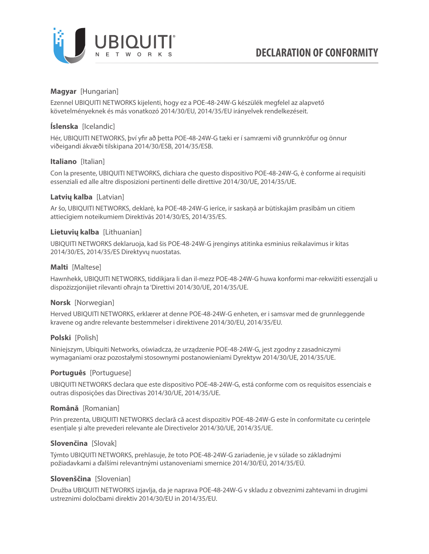

# **Magyar** [Hungarian]

Ezennel UBIQUITI NETWORKS kijelenti, hogy ez a POE-48-24W-G készülék megfelel az alapvető követelményeknek és más vonatkozó 2014/30/EU, 2014/35/EU irányelvek rendelkezéseit.

# **Íslenska** [Icelandic]

Hér, UBIQUITI NETWORKS, því yfir að þetta POE-48-24W-G tæki er í samræmi við grunnkröfur og önnur viðeigandi ákvæði tilskipana 2014/30/ESB, 2014/35/ESB.

## **Italiano** [Italian]

Con la presente, UBIQUITI NETWORKS, dichiara che questo dispositivo POE-48-24W-G, è conforme ai requisiti essenziali ed alle altre disposizioni pertinenti delle direttive 2014/30/UE, 2014/35/UE.

## **Latvių kalba** [Latvian]

Ar šo, UBIQUITI NETWORKS, deklarē, ka POE-48-24W-G ierīce, ir saskaņā ar būtiskajām prasībām un citiem attiecīgiem noteikumiem Direktīvās 2014/30/ES, 2014/35/ES.

## **Lietuvių kalba** [Lithuanian]

UBIQUITI NETWORKS deklaruoja, kad šis POE-48-24W-G įrenginys atitinka esminius reikalavimus ir kitas 2014/30/ES, 2014/35/ES Direktyvų nuostatas.

## **Malti** [Maltese]

Hawnhekk, UBIQUITI NETWORKS, tiddikjara li dan il-mezz POE-48-24W-G huwa konformi mar-rekwiżiti essenzjali u dispożizzjonijiet rilevanti oħrajn ta 'Direttivi 2014/30/UE, 2014/35/UE.

# **Norsk** [Norwegian]

Herved UBIQUITI NETWORKS, erklærer at denne POE-48-24W-G enheten, er i samsvar med de grunnleggende kravene og andre relevante bestemmelser i direktivene 2014/30/EU, 2014/35/EU.

# **Polski** [Polish]

Niniejszym, Ubiquiti Networks, oświadcza, że urządzenie POE-48-24W-G, jest zgodny z zasadniczymi wymaganiami oraz pozostałymi stosownymi postanowieniami Dyrektyw 2014/30/UE, 2014/35/UE.

#### **Português** [Portuguese]

UBIQUITI NETWORKS declara que este dispositivo POE-48-24W-G, está conforme com os requisitos essenciais e outras disposições das Directivas 2014/30/UE, 2014/35/UE.

#### **Română** [Romanian]

Prin prezenta, UBIQUITI NETWORKS declară că acest dispozitiv POE-48-24W-G este în conformitate cu cerințele esențiale și alte prevederi relevante ale Directivelor 2014/30/UE, 2014/35/UE.

#### **Slovenčina** [Slovak]

Týmto UBIQUITI NETWORKS, prehlasuje, že toto POE-48-24W-G zariadenie, je v súlade so základnými požiadavkami a ďalšími relevantnými ustanoveniami smernice 2014/30/EÚ, 2014/35/EÚ.

#### **Slovenščina** [Slovenian]

Družba UBIQUITI NETWORKS izjavlja, da je naprava POE-48-24W-G v skladu z obveznimi zahtevami in drugimi ustreznimi določbami direktiv 2014/30/EU in 2014/35/EU.